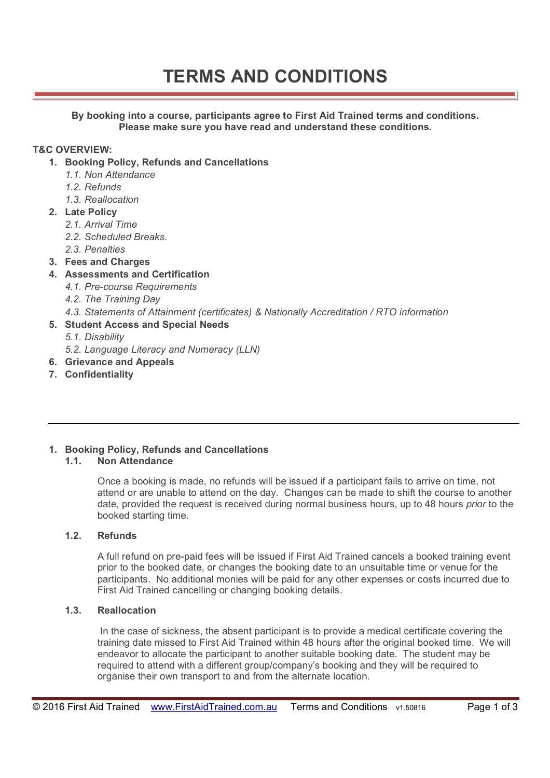# **TERMS AND CONDITIONS**

**By booking into a course, participants agree to First Aid Trained terms and conditions. Please make sure you have read and understand these conditions.** 

#### **T&C OVERVIEW:**

- **1. Booking Policy, Refunds and Cancellations** 
	- *1.1. Non Attendance*
	- *1.2. Refunds*
	- *1.3. Reallocation*
- **2. Late Policy** 
	- *2.1. Arrival Time*
	- *2.2. Scheduled Breaks.*
	- *2.3. Penalties*
- **3. Fees and Charges**
- **4. Assessments and Certification** 
	- *4.1. Pre-course Requirements*
	- *4.2. The Training Day*
	- *4.3. Statements of Attainment (certificates) & Nationally Accreditation / RTO information*
- **5. Student Access and Special Needs** 
	- *5.1. Disability*
	- *5.2. Language Literacy and Numeracy (LLN)*
- **6. Grievance and Appeals**
- **7. Confidentiality**

## **1. Booking Policy, Refunds and Cancellations**

### **1.1. Non Attendance**

Once a booking is made, no refunds will be issued if a participant fails to arrive on time, not attend or are unable to attend on the day. Changes can be made to shift the course to another date, provided the request is received during normal business hours, up to 48 hours *prior* to the booked starting time.

#### **1.2. Refunds**

A full refund on pre-paid fees will be issued if First Aid Trained cancels a booked training event prior to the booked date, or changes the booking date to an unsuitable time or venue for the participants. No additional monies will be paid for any other expenses or costs incurred due to First Aid Trained cancelling or changing booking details.

#### **1.3. Reallocation**

 In the case of sickness, the absent participant is to provide a medical certificate covering the training date missed to First Aid Trained within 48 hours after the original booked time. We will endeavor to allocate the participant to another suitable booking date. The student may be required to attend with a different group/company's booking and they will be required to organise their own transport to and from the alternate location.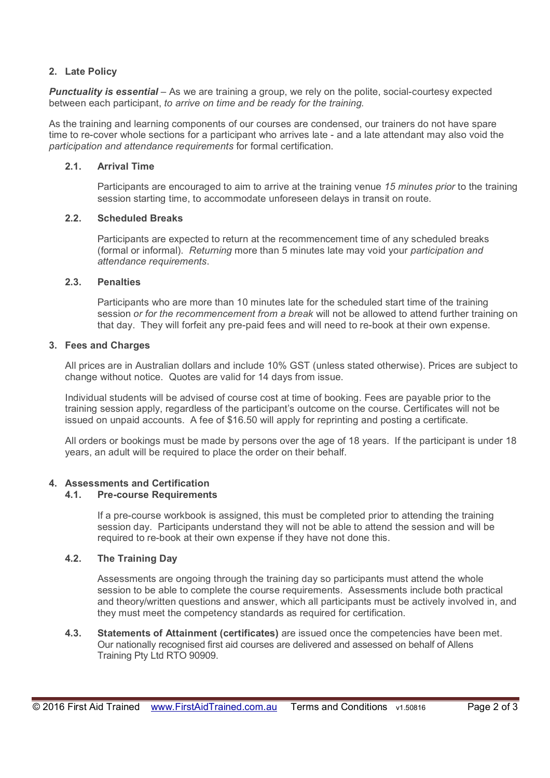#### **2. Late Policy**

*Punctuality is essential* – As we are training a group, we rely on the polite, social-courtesy expected between each participant, *to arrive on time and be ready for the training.*

As the training and learning components of our courses are condensed, our trainers do not have spare time to re-cover whole sections for a participant who arrives late - and a late attendant may also void the *participation and attendance requirements* for formal certification.

#### **2.1. Arrival Time**

Participants are encouraged to aim to arrive at the training venue *15 minutes prior* to the training session starting time, to accommodate unforeseen delays in transit on route.

#### **2.2. Scheduled Breaks**

Participants are expected to return at the recommencement time of any scheduled breaks (formal or informal). *Returning* more than 5 minutes late may void your *participation and attendance requirements*.

#### **2.3. Penalties**

Participants who are more than 10 minutes late for the scheduled start time of the training session *or for the recommencement from a break* will not be allowed to attend further training on that day. They will forfeit any pre-paid fees and will need to re-book at their own expense.

#### **3. Fees and Charges**

All prices are in Australian dollars and include 10% GST (unless stated otherwise). Prices are subject to change without notice. Quotes are valid for 14 days from issue.

Individual students will be advised of course cost at time of booking. Fees are payable prior to the training session apply, regardless of the participant's outcome on the course. Certificates will not be issued on unpaid accounts. A fee of \$16.50 will apply for reprinting and posting a certificate.

All orders or bookings must be made by persons over the age of 18 years. If the participant is under 18 years, an adult will be required to place the order on their behalf.

#### **4. Assessments and Certification**

#### **4.1. Pre-course Requirements**

If a pre-course workbook is assigned, this must be completed prior to attending the training session day. Participants understand they will not be able to attend the session and will be required to re-book at their own expense if they have not done this.

#### **4.2. The Training Day**

Assessments are ongoing through the training day so participants must attend the whole session to be able to complete the course requirements. Assessments include both practical and theory/written questions and answer, which all participants must be actively involved in, and they must meet the competency standards as required for certification.

**4.3. Statements of Attainment (certificates)** are issued once the competencies have been met. Our nationally recognised first aid courses are delivered and assessed on behalf of Allens Training Pty Ltd RTO 90909.